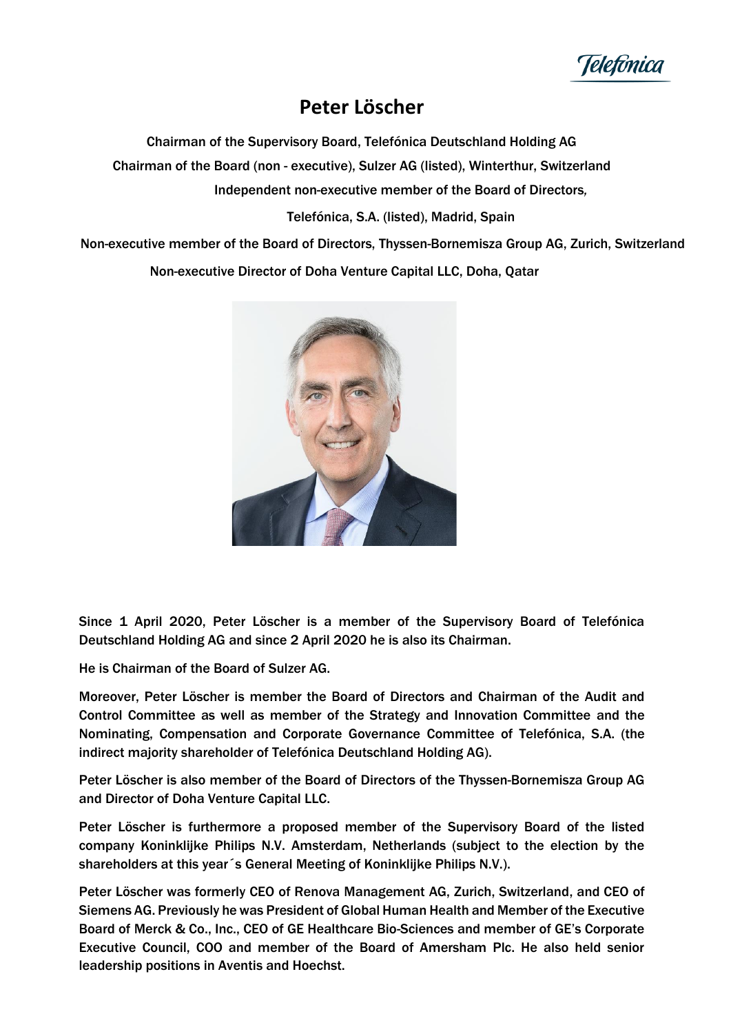

## **Peter Löscher**

Chairman of the Supervisory Board, Telefónica Deutschland Holding AG Chairman of the Board (non - executive), Sulzer AG (listed), Winterthur, Switzerland Independent non-executive member of the Board of Directors*,*

Telefónica, S.A. (listed), Madrid, Spain

Non-executive member of the Board of Directors, Thyssen-Bornemisza Group AG, Zurich, Switzerland Non-executive Director of Doha Venture Capital LLC, Doha, Qatar



Since 1 April 2020, Peter Löscher is a member of the Supervisory Board of Telefónica Deutschland Holding AG and since 2 April 2020 he is also its Chairman.

He is Chairman of the Board of Sulzer AG.

Moreover, Peter Löscher is member the Board of Directors and Chairman of the Audit and Control Committee as well as member of the Strategy and Innovation Committee and the [Nominating, Compensation and Corporate Governance](https://www.telefonica.com/web/shareholders-investors/corporate_governance/comnombram) Committee of Telefónica, S.A. (the indirect majority shareholder of Telefónica Deutschland Holding AG).

Peter Löscher is also member of the Board of Directors of the Thyssen-Bornemisza Group AG and Director of Doha Venture Capital LLC.

Peter Löscher is furthermore a proposed member of the Supervisory Board of the listed company Koninklijke Philips N.V. Amsterdam, Netherlands (subject to the election by the shareholders at this year´s General Meeting of Koninklijke Philips N.V.).

Peter Löscher was formerly CEO of Renova Management AG, Zurich, Switzerland, and CEO of Siemens AG. Previously he was President of Global Human Health and Member of the Executive Board of Merck & Co., Inc., CEO of GE Healthcare Bio-Sciences and member of GE's Corporate Executive Council, COO and member of the Board of Amersham Plc. He also held senior leadership positions in Aventis and Hoechst.